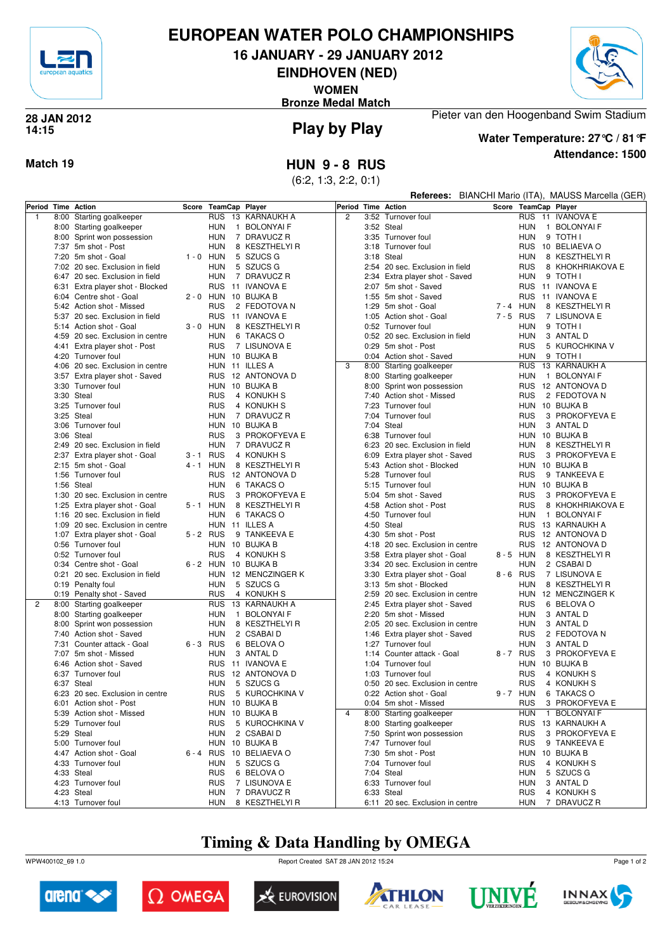

## **EUROPEAN WATER POLO CHAMPIONSHIPS**

**16 JANUARY - 29 JANUARY 2012**

**EINDHOVEN (NED)**

**WOMEN**

**Bronze Medal Match**



### **Play by Play 28 JAN 2012 14:15**

**Attendance: 1500 Water Temperature: 27°C / 81°F**

Pieter van den Hoogenband Swim Stadium

**Match 19 HUN 9 - 8 RUS**

(6:2, 1:3, 2:2, 0:1)

|                    |                                           | Referees: BIANCHI Mario (ITA), MAUSS Marcella (GER) |            |                                  |                |      |                                                  |         |                   |  |                                  |
|--------------------|-------------------------------------------|-----------------------------------------------------|------------|----------------------------------|----------------|------|--------------------------------------------------|---------|-------------------|--|----------------------------------|
| Period Time Action |                                           | Score                                               |            | TeamCap Player                   | Period         |      | <b>Time Action</b>                               |         |                   |  | Score TeamCap Player             |
| $\mathbf{1}$       | 8:00 Starting goalkeeper                  |                                                     | <b>RUS</b> | 13 KARNAUKH A                    | $\overline{c}$ |      | 3:52 Turnover foul                               |         | <b>RUS</b>        |  | 11 IVANOVA E                     |
|                    | 8:00 Starting goalkeeper                  |                                                     | <b>HUN</b> | 1 BOLONYAI F                     |                |      | 3:52 Steal                                       |         | HUN               |  | 1 BOLONYAI F                     |
|                    | 8:00 Sprint won possession                |                                                     | <b>HUN</b> | 7 DRAVUCZ R                      |                |      | 3:35 Turnover foul                               |         | <b>HUN</b>        |  | 9 TOTH I                         |
|                    | 7:37 5m shot - Post                       |                                                     | <b>HUN</b> | 8 KESZTHELYI R                   |                |      | 3:18 Turnover foul                               |         | <b>RUS</b>        |  | 10 BELIAEVA O                    |
|                    | 7:20 5m shot - Goal                       | $1 - 0$ HUN                                         |            | 5 SZUCS G                        |                |      | 3:18 Steal                                       |         | <b>HUN</b>        |  | 8 KESZTHELYI R                   |
|                    | 7:02 20 sec. Exclusion in field           |                                                     | <b>HUN</b> | 5 SZUCS G                        |                |      | 2:54 20 sec. Exclusion in field                  |         | <b>RUS</b>        |  | 8 KHOKHRIAKOVA E                 |
|                    | 6:47 20 sec. Exclusion in field           |                                                     | <b>HUN</b> | 7 DRAVUCZ R                      |                |      | 2:34 Extra player shot - Saved                   |         | <b>HUN</b>        |  | 9 TOTH I                         |
|                    | 6:31 Extra player shot - Blocked          |                                                     | <b>RUS</b> | 11 IVANOVA E                     |                |      | 2:07 5m shot - Saved                             |         | <b>RUS</b>        |  | 11 IVANOVA E                     |
|                    | 6:04 Centre shot - Goal                   |                                                     | 2 - 0 HUN  | 10 BUJKA B                       |                |      | 1:55 5m shot - Saved                             |         | <b>RUS</b>        |  | 11 IVANOVA E                     |
|                    | 5:42 Action shot - Missed                 |                                                     | <b>RUS</b> | 2 FEDOTOVA N                     |                |      | 1:29 5m shot - Goal                              | 7-4 HUN |                   |  | 8 KESZTHELYI R                   |
|                    | 5:37 20 sec. Exclusion in field           |                                                     | <b>RUS</b> | 11 IVANOVA E                     |                |      | 1:05 Action shot - Goal                          | 7-5 RUS |                   |  | 7 LISUNOVA E                     |
|                    | 5:14 Action shot - Goal                   | $3 - 0$ HUN                                         |            | 8 KESZTHELYI R                   |                |      | 0:52 Turnover foul                               |         | HUN               |  | 9 TOTH I                         |
|                    | 4:59 20 sec. Exclusion in centre          |                                                     | <b>HUN</b> | 6 TAKACS O                       |                |      | 0:52 20 sec. Exclusion in field                  |         | <b>HUN</b>        |  | 3 ANTAL D                        |
|                    | 4:41 Extra player shot - Post             |                                                     | <b>RUS</b> | 7 LISUNOVA E                     |                |      | 0:29 5m shot - Post                              |         | RUS               |  | 5 KUROCHKINA V                   |
|                    | 4:20 Turnover foul                        |                                                     | HUN        | 10 BUJKA B                       |                |      | 0:04 Action shot - Saved                         |         | <b>HUN</b>        |  | 9 TOTH I                         |
|                    | 4:06 20 sec. Exclusion in centre          |                                                     |            | HUN 11 ILLES A                   | 3              |      | 8:00 Starting goalkeeper                         |         | <b>RUS</b>        |  | 13 KARNAUKH A                    |
|                    | 3:57 Extra player shot - Saved            |                                                     | <b>RUS</b> | 12 ANTONOVA D                    |                |      | 8:00 Starting goalkeeper                         |         | HUN               |  | 1 BOLONYAI F                     |
|                    | 3:30 Turnover foul                        |                                                     | HUN        | 10 BUJKA B                       |                |      | 8:00 Sprint won possession                       |         | <b>RUS</b>        |  | 12 ANTONOVA D                    |
|                    | 3:30 Steal                                |                                                     | <b>RUS</b> | 4 KONUKH S                       |                |      | 7:40 Action shot - Missed                        |         | <b>RUS</b>        |  | 2 FEDOTOVA N                     |
|                    | 3:25 Turnover foul                        |                                                     | <b>RUS</b> | 4 KONUKH S                       |                |      | 7:23 Turnover foul                               |         |                   |  | HUN 10 BUJKA B                   |
|                    | 3:25 Steal                                |                                                     | <b>HUN</b> | 7 DRAVUCZ R                      |                |      | 7:04 Turnover foul                               |         | <b>RUS</b>        |  | 3 PROKOFYEVA E                   |
|                    | 3:06 Turnover foul                        |                                                     | <b>HUN</b> | 10 BUJKA B                       |                |      | 7:04 Steal                                       |         | <b>HUN</b>        |  | 3 ANTAL D                        |
|                    | 3:06 Steal                                |                                                     | <b>RUS</b> | 3 PROKOFYEVA E                   |                |      | 6:38 Turnover foul                               |         |                   |  | HUN 10 BUJKA B                   |
|                    | 2:49 20 sec. Exclusion in field           |                                                     | <b>HUN</b> | 7 DRAVUCZ R                      |                |      | 6:23 20 sec. Exclusion in field                  |         | <b>HUN</b>        |  | 8 KESZTHELYI R                   |
|                    | 2:37 Extra player shot - Goal             | 3-1 RUS<br>4 - 1 HUN                                |            | 4 KONUKH S<br>8 KESZTHELYI R     |                |      | 6:09 Extra player shot - Saved                   |         | <b>RUS</b>        |  | 3 PROKOFYEVA E<br>HUN 10 BUJKA B |
|                    | 2:15 5m shot - Goal<br>1:56 Turnover foul |                                                     | <b>RUS</b> | 12 ANTONOVA D                    |                |      | 5:43 Action shot - Blocked<br>5:28 Turnover foul |         | <b>RUS</b>        |  | 9 TANKEEVA E                     |
|                    | 1:56 Steal                                |                                                     | <b>HUN</b> | 6 TAKACS O                       |                |      | 5:15 Turnover foul                               |         |                   |  | HUN 10 BUJKA B                   |
|                    | 1:30 20 sec. Exclusion in centre          |                                                     | <b>RUS</b> | 3 PROKOFYEVA E                   |                |      | 5:04 5m shot - Saved                             |         | <b>RUS</b>        |  | 3 PROKOFYEVA E                   |
|                    | 1:25 Extra player shot - Goal             | 5 - 1 HUN                                           |            | 8 KESZTHELYI R                   |                | 4:58 | Action shot - Post                               |         | <b>RUS</b>        |  | 8 KHOKHRIAKOVA E                 |
|                    | 1:16 20 sec. Exclusion in field           |                                                     | <b>HUN</b> | 6 TAKACS O                       |                |      | 4:50 Turnover foul                               |         | <b>HUN</b>        |  | 1 BOLONYAI F                     |
|                    | 1:09 20 sec. Exclusion in centre          |                                                     | HUN        | 11 ILLES A                       |                |      | 4:50 Steal                                       |         | <b>RUS</b>        |  | 13 KARNAUKH A                    |
|                    | 1:07 Extra player shot - Goal             | 5-2 RUS                                             |            | 9 TANKEEVA E                     |                |      | 4:30 5m shot - Post                              |         | <b>RUS</b>        |  | 12 ANTONOVA D                    |
|                    | 0:56 Turnover foul                        |                                                     | <b>HUN</b> | 10 BUJKA B                       |                |      | 4:18 20 sec. Exclusion in centre                 |         | <b>RUS</b>        |  | 12 ANTONOVA D                    |
|                    | 0:52 Turnover foul                        |                                                     | <b>RUS</b> | 4 KONUKH S                       |                |      | 3:58 Extra player shot - Goal                    | 8-5 HUN |                   |  | 8 KESZTHELYI R                   |
|                    | 0:34 Centre shot - Goal                   |                                                     | 6-2 HUN    | 10 BUJKA B                       |                |      | 3:34 20 sec. Exclusion in centre                 |         | <b>HUN</b>        |  | 2 CSABAI D                       |
|                    | 0:21 20 sec. Exclusion in field           |                                                     | HUN        | 12 MENCZINGER K                  |                |      | 3:30 Extra player shot - Goal                    | 8-6 RUS |                   |  | 7 LISUNOVA E                     |
|                    | 0:19 Penalty foul                         |                                                     | <b>HUN</b> | 5 SZUCS G                        |                |      | 3:13 5m shot - Blocked                           |         | <b>HUN</b>        |  | 8 KESZTHELYI R                   |
|                    | 0:19 Penalty shot - Saved                 |                                                     | <b>RUS</b> | 4 KONUKH S                       |                |      | 2:59 20 sec. Exclusion in centre                 |         | <b>HUN</b>        |  | 12 MENCZINGER K                  |
| $\overline{2}$     | 8:00 Starting goalkeeper                  |                                                     | <b>RUS</b> | 13 KARNAUKH A                    |                |      | 2:45 Extra player shot - Saved                   |         | <b>RUS</b>        |  | 6 BELOVA O                       |
|                    | 8:00 Starting goalkeeper                  |                                                     | <b>HUN</b> | $\mathbf{1}$<br><b>BOLONYAIF</b> |                |      | 2:20 5m shot - Missed                            |         | <b>HUN</b>        |  | 3 ANTAL D                        |
|                    | 8:00 Sprint won possession                |                                                     | <b>HUN</b> | 8 KESZTHELYI R                   |                |      | 2:05 20 sec. Exclusion in centre                 |         | HUN               |  | 3 ANTAL D                        |
|                    | 7:40 Action shot - Saved                  |                                                     | <b>HUN</b> | 2 CSABAI D                       |                |      | 1:46 Extra player shot - Saved                   |         | <b>RUS</b>        |  | 2 FEDOTOVA N                     |
|                    | 7:31 Counter attack - Goal                | $6 - 3$ RUS                                         |            | 6 BELOVA O                       |                |      | 1:27 Turnover foul                               |         | HUN               |  | 3 ANTAL D                        |
|                    | 7:07 5m shot - Missed                     |                                                     | HUN        | 3 ANTAL D                        |                |      | 1:14 Counter attack - Goal                       | 8-7 RUS |                   |  | 3 PROKOFYEVA E                   |
|                    | 6:46 Action shot - Saved                  |                                                     | <b>RUS</b> | 11 IVANOVA E                     |                |      | 1:04 Turnover foul                               |         | HUN               |  | 10 BUJKA B                       |
|                    | 6:37 Turnover foul                        |                                                     | <b>RUS</b> | 12 ANTONOVA D                    |                |      | 1:03 Turnover foul                               |         | <b>RUS</b>        |  | 4 KONUKH S                       |
|                    | 6:37 Steal                                |                                                     | <b>HUN</b> | 5 SZUCS G                        |                |      | 0:50 20 sec. Exclusion in centre                 |         | <b>RUS</b>        |  | 4 KONUKH S                       |
|                    | 6:23 20 sec. Exclusion in centre          |                                                     | <b>RUS</b> | 5 KUROCHKINA V                   |                |      | 0:22 Action shot - Goal                          |         | 9-7 HUN           |  | 6 TAKACS O                       |
|                    | 6:01 Action shot - Post                   |                                                     |            | HUN 10 BUJKA B                   |                |      | 0:04 5m shot - Missed                            |         |                   |  | RUS 3 PROKOFYEVA E               |
|                    | 5:39 Action shot - Missed                 |                                                     |            | HUN 10 BUJKA B                   | $\overline{4}$ |      | 8:00 Starting goalkeeper                         |         | HUN               |  | 1 BOLONYAI F                     |
|                    | 5:29 Turnover foul                        |                                                     | <b>RUS</b> | 5 KUROCHKINA V                   |                |      | 8:00 Starting goalkeeper                         |         |                   |  | RUS 13 KARNAUKH A                |
|                    | 5:29 Steal                                |                                                     | HUN        | 2 CSABAI D                       |                |      | 7:50 Sprint won possession                       |         | <b>RUS</b>        |  | 3 PROKOFYEVA E                   |
|                    | 5:00 Turnover foul                        |                                                     |            | HUN 10 BUJKA B                   |                |      | 7:47 Turnover foul                               |         | <b>RUS</b>        |  | 9 TANKEEVA E                     |
|                    | 4:47 Action shot - Goal                   | $6 - 4$ RUS                                         |            | 10 BELIAEVA O                    |                |      | 7:30 5m shot - Post                              |         |                   |  | HUN 10 BUJKA B                   |
|                    | 4:33 Turnover foul                        |                                                     | <b>HUN</b> | 5 SZUCS G                        |                |      | 7:04 Turnover foul                               |         | <b>RUS</b>        |  | 4 KONUKH S                       |
|                    | 4:33 Steal                                |                                                     | <b>RUS</b> | 6 BELOVA O                       |                |      | 7:04 Steal<br>6:33 Turnover foul                 |         | HUN<br><b>HUN</b> |  | 5 SZUCS G                        |
|                    | 4:23 Turnover foul<br>4:23 Steal          |                                                     | RUS<br>HUN | 7 LISUNOVA E<br>7 DRAVUCZ R      |                |      | 6:33 Steal                                       |         | <b>RUS</b>        |  | 3 ANTAL D<br>4 KONUKH S          |
|                    | 4:13 Turnover foul                        |                                                     | <b>HUN</b> | 8 KESZTHELYI R                   |                |      | 6:11 20 sec. Exclusion in centre                 |         | HUN               |  | 7 DRAVUCZ R                      |
|                    |                                           |                                                     |            |                                  |                |      |                                                  |         |                   |  |                                  |

# **Timing & Data Handling by OMEGA**

WPW400102\_69 1.0 Report Created SAT 28 JAN 2012 15:24













Page 1 of 2